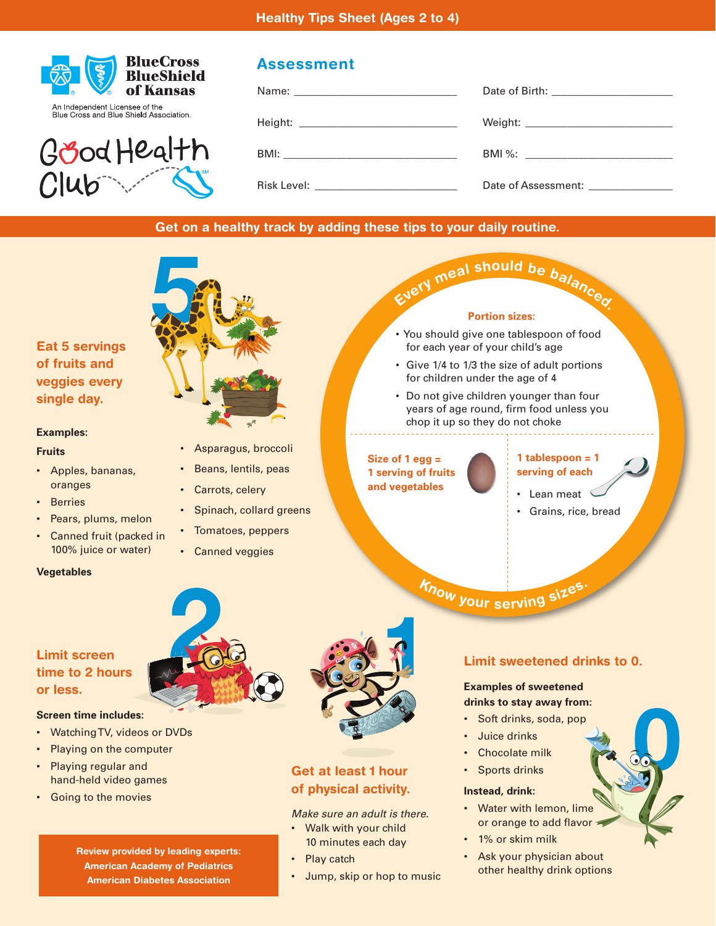



# **Assessment**

|                                            | Date of Birth: _________________________ |
|--------------------------------------------|------------------------------------------|
| Height: __________________________________ |                                          |
|                                            |                                          |
| Risk Level: ____________________________   | Date of Assessment: _______________      |

# **Get on a healthy track by adding these tips to your daily routine.**



#### **Examples:**

#### **Fruits**

- Apples, bananas, oranges
- **Berries**
- Pears, plums, melon
- Canned fruit (packed in 100% juice or water)

## **Vegetables**



- Asparagus, broccoli
- Beans, lentils, peas
- Carrots, celery
- Spinach, collard greens
- Tomatoes, peppers
- Canned veggies



#### **Portion sizes:**

- You should give one tablespoon of food for each year of your child's age
- Give 1/4 to 1/3 the size of adult portions for children under the age of 4
- Do not give children younger than four years of age round, firm food unless you chop it up so they do not choke

#### **Size of 1 egg = 1 serving of fruits and vegetables**

#### **1 tablespoon = 1 serving of each**

- Lean meat  $\, \leq$
- Grains, rice, bread

**<sup>K</sup>no<sup>w</sup> <sup>y</sup>ou<sup>r</sup> <sup>s</sup>ervin<sup>g</sup> <sup>s</sup>izes.**

# **Limit screen time to 2 hours or less.**

## **Screen time includes:**

- Watching TV, videos or DVDs
- Playing on the computer
- Playing regular and hand-held video games
- Going to the movies



# **Get at least 1 hour of physical activity.**

*Make sure an adult is there.*

- Walk with your child 10 minutes each day
- Play catch
- Jump, skip or hop to music

# **Limit sweetened drinks to 0.**

## **Examples of sweetened drinks to stay away from:**

- Soft drinks, soda, pop
- Juice drinks
- Chocolate milk
- Sports drinks

## **Instead, drink:**

- Water with lemon, lime or orange to add flavor
- 1% or skim milk
- Ask your physician about other healthy drink options

**Review provided by leading experts: American Academy of Pediatrics American Diabetes Association**